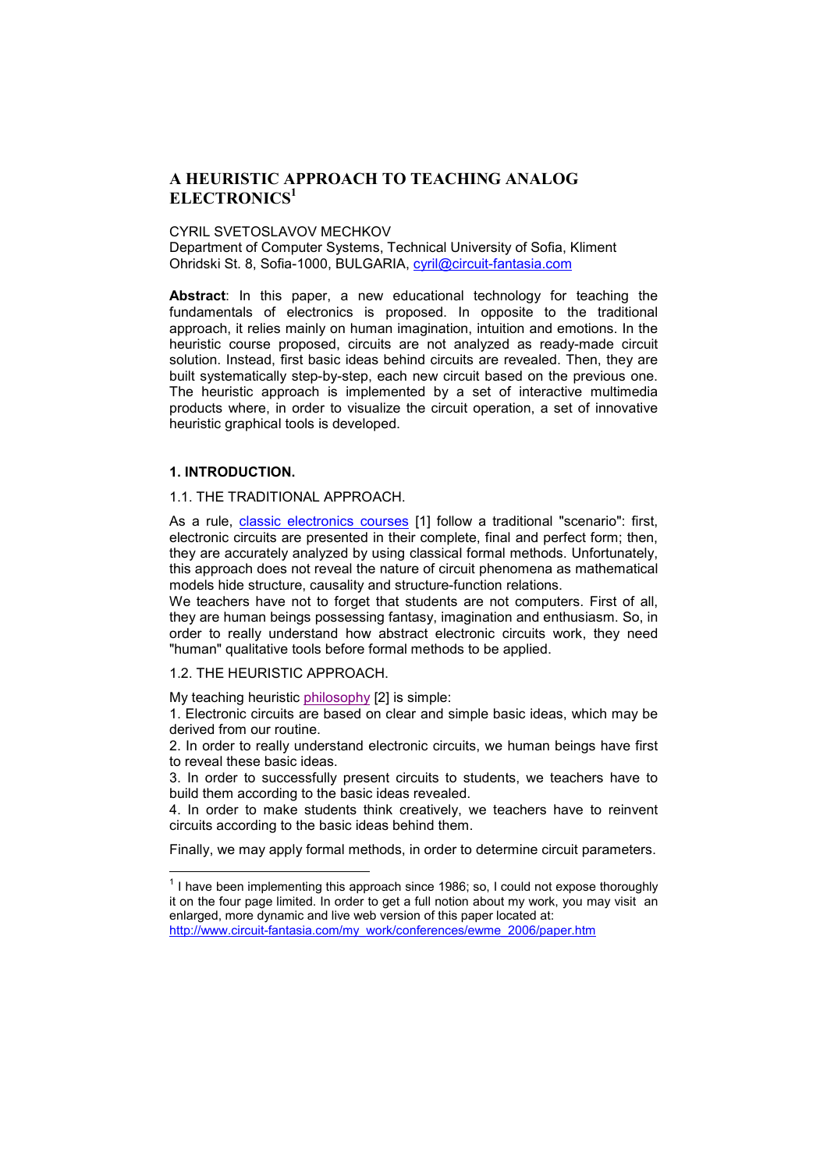# **A HEURISTIC APPROACH TO TEACHING ANALOG ELECTRONICS1**

#### CYRIL SVETOSLAVOV MECHKOV

Department of Computer Systems, Technical University of Sofia, Kliment Ohridski St. 8, Sofia-1000, BULGARIA, cyril@circuit-fantasia.com

**Abstract**: In this paper, a new educational technology for teaching the fundamentals of electronics is proposed. In opposite to the traditional approach, it relies mainly on human imagination, intuition and emotions. In the heuristic course proposed, circuits are not analyzed as ready-made circuit solution. Instead, first basic ideas behind circuits are revealed. Then, they are built systematically step-by-step, each new circuit based on the previous one. The heuristic approach is implemented by a set of interactive multimedia products where, in order to visualize the circuit operation, a set of innovative heuristic graphical tools is developed.

#### **1. INTRODUCTION.**

# 1.1. THE TRADITIONAL APPROACH.

As a rule, classic electronics courses [1] follow a traditional "scenario": first, electronic circuits are presented in their complete, final and perfect form; then, they are accurately analyzed by using classical formal methods. Unfortunately, this approach does not reveal the nature of circuit phenomena as mathematical models hide structure, causality and structure-function relations.

We teachers have not to forget that students are not computers. First of all, they are human beings possessing fantasy, imagination and enthusiasm. So, in order to really understand how abstract electronic circuits work, they need "human" qualitative tools before formal methods to be applied.

#### 1.2. THE HEURISTIC APPROACH.

My teaching heuristic philosophy [2] is simple:

1. Electronic circuits are based on clear and simple basic ideas, which may be derived from our routine.

2. In order to really understand electronic circuits, we human beings have first to reveal these basic ideas.

3. In order to successfully present circuits to students, we teachers have to build them according to the basic ideas revealed.

4. In order to make students think creatively, we teachers have to reinvent circuits according to the basic ideas behind them.

Finally, we may apply formal methods, in order to determine circuit parameters.

 $1$  I have been implementing this approach since 1986; so, I could not expose thoroughly it on the four page limited. In order to get a full notion about my work, you may visit an enlarged, more dynamic and live web version of this paper located at: http://www.circuit-fantasia.com/my\_work/conferences/ewme\_2006/paper.htm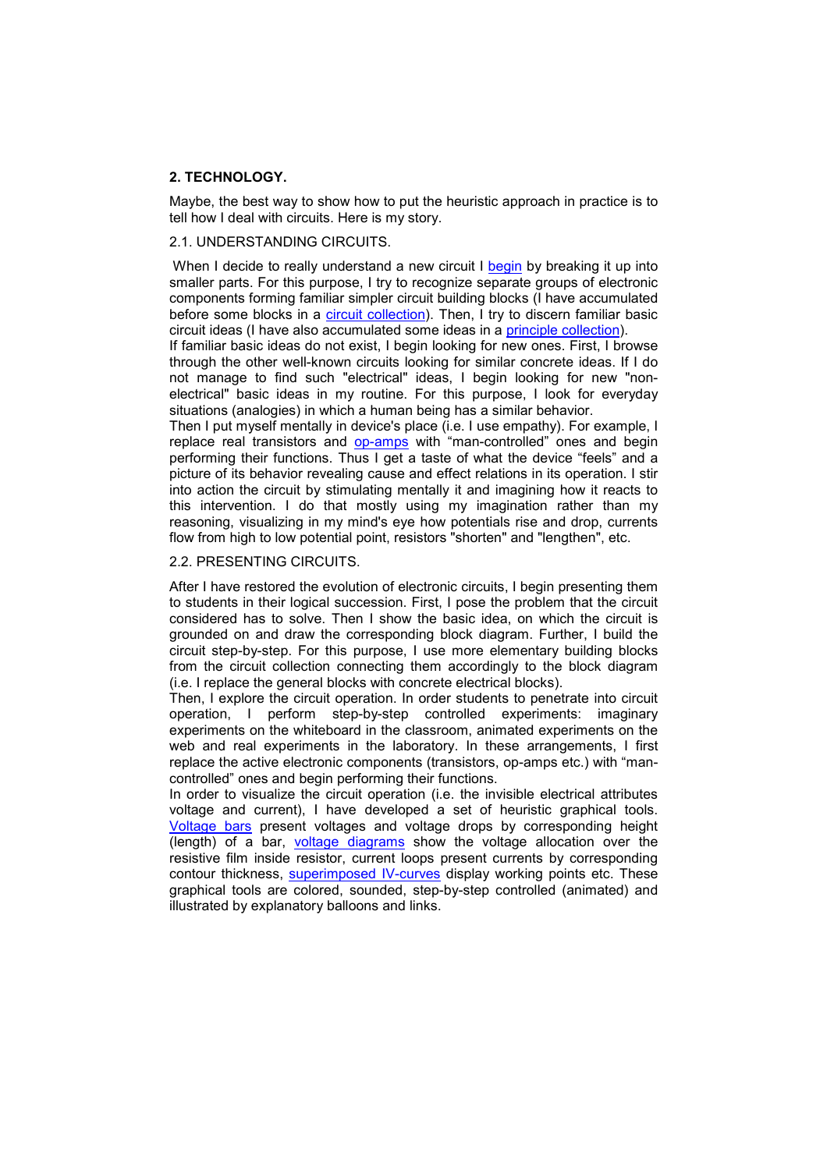# **2. TECHNOLOGY.**

Maybe, the best way to show how to put the heuristic approach in practice is to tell how I deal with circuits. Here is my story.

#### 2.1. UNDERSTANDING CIRCUITS.

When I decide to really understand a new circuit I begin by breaking it up into smaller parts. For this purpose, I try to recognize separate groups of electronic components forming familiar simpler circuit building blocks (I have accumulated before some blocks in a circuit collection). Then, I try to discern familiar basic circuit ideas (I have also accumulated some ideas in a principle collection).

If familiar basic ideas do not exist, I begin looking for new ones. First, I browse through the other well-known circuits looking for similar concrete ideas. If I do not manage to find such "electrical" ideas, I begin looking for new "nonelectrical" basic ideas in my routine. For this purpose, I look for everyday situations (analogies) in which a human being has a similar behavior.

Then I put myself mentally in device's place (i.e. I use empathy). For example, I replace real transistors and op-amps with "man-controlled" ones and begin performing their functions. Thus I get a taste of what the device "feels" and a picture of its behavior revealing cause and effect relations in its operation. I stir into action the circuit by stimulating mentally it and imagining how it reacts to this intervention. I do that mostly using my imagination rather than my reasoning, visualizing in my mind's eye how potentials rise and drop, currents flow from high to low potential point, resistors "shorten" and "lengthen", etc.

## 2.2. PRESENTING CIRCUITS.

After I have restored the evolution of electronic circuits, I begin presenting them to students in their logical succession. First, I pose the problem that the circuit considered has to solve. Then I show the basic idea, on which the circuit is grounded on and draw the corresponding block diagram. Further, I build the circuit step-by-step. For this purpose, I use more elementary building blocks from the circuit collection connecting them accordingly to the block diagram (i.e. I replace the general blocks with concrete electrical blocks).

Then, I explore the circuit operation. In order students to penetrate into circuit operation, I perform step-by-step controlled experiments: imaginary experiments on the whiteboard in the classroom, animated experiments on the web and real experiments in the laboratory. In these arrangements, I first replace the active electronic components (transistors, op-amps etc.) with "mancontrolled" ones and begin performing their functions.

In order to visualize the circuit operation (i.e. the invisible electrical attributes voltage and current), I have developed a set of heuristic graphical tools. Voltage bars present voltages and voltage drops by corresponding height (length) of a bar, voltage diagrams show the voltage allocation over the resistive film inside resistor, current loops present currents by corresponding contour thickness, superimposed IV-curves display working points etc. These graphical tools are colored, sounded, step-by-step controlled (animated) and illustrated by explanatory balloons and links.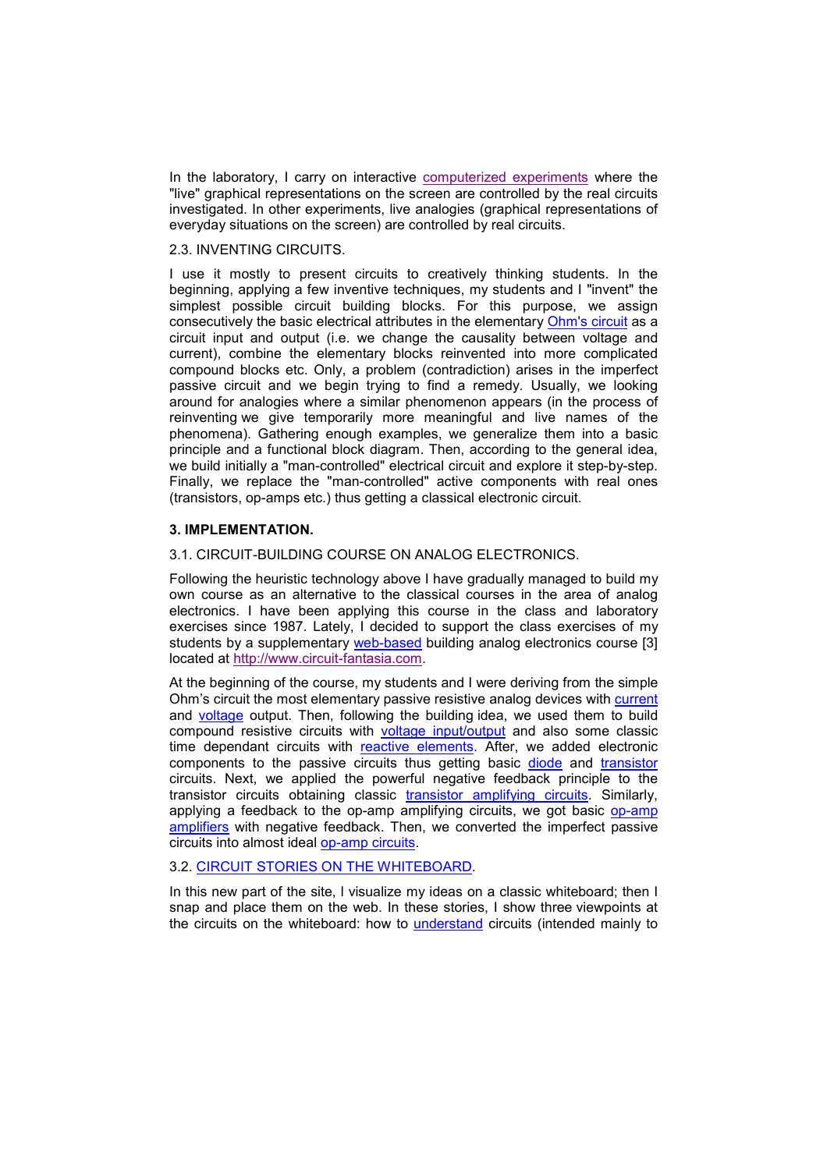In the laboratory, I carry on interactive computerized experiments where the "live" graphical representations on the screen are controlled by the real circuits investigated. In other experiments, live analogies (graphical representations of everyday situations on the screen) are controlled by real circuits.

## 2.3. INVENTING CIRCUITS.

I use it mostly to present circuits to creatively thinking students. In the beginning, applying a few inventive techniques, my students and I "invent" the simplest possible circuit building blocks. For this purpose, we assign consecutively the basic electrical attributes in the elementary Ohm's circuit as a circuit input and output (i.e. we change the causality between voltage and current), combine the elementary blocks reinvented into more complicated compound blocks etc. Only, a problem (contradiction) arises in the imperfect passive circuit and we begin trying to find a remedy. Usually, we looking around for analogies where a similar phenomenon appears (in the process of reinventing we give temporarily more meaningful and live names of the phenomena). Gathering enough examples, we generalize them into a basic principle and a functional block diagram. Then, according to the general idea, we build initially a "man-controlled" electrical circuit and explore it step-by-step. Finally, we replace the "man-controlled" active components with real ones (transistors, op-amps etc.) thus getting a classical electronic circuit.

## **3. IMPLEMENTATION.**

#### 3.1. CIRCUIT-BUILDING COURSE ON ANALOG ELECTRONICS.

Following the heuristic technology above I have gradually managed to build my own course as an alternative to the classical courses in the area of analog electronics. I have been applying this course in the class and laboratory exercises since 1987. Lately, I decided to support the class exercises of my students by a supplementary web-based building analog electronics course [3] located at http://www.circuit-fantasia.com.

At the beginning of the course, my students and I were deriving from the simple Ohmís circuit the most elementary passive resistive analog devices with current and voltage output. Then, following the building idea, we used them to build compound resistive circuits with voltage input/output and also some classic time dependant circuits with reactive elements. After, we added electronic components to the passive circuits thus getting basic diode and transistor circuits. Next, we applied the powerful negative feedback principle to the transistor circuits obtaining classic transistor amplifying circuits. Similarly, applying a feedback to the op-amp amplifying circuits, we got basic op-amp amplifiers with negative feedback. Then, we converted the imperfect passive circuits into almost ideal op-amp circuits.

# 3.2. CIRCUIT STORIES ON THE WHITEBOARD.

In this new part of the site, l visualize my ideas on a classic whiteboard; then I snap and place them on the web. In these stories, I show three viewpoints at the circuits on the whiteboard: how to understand circuits (intended mainly to